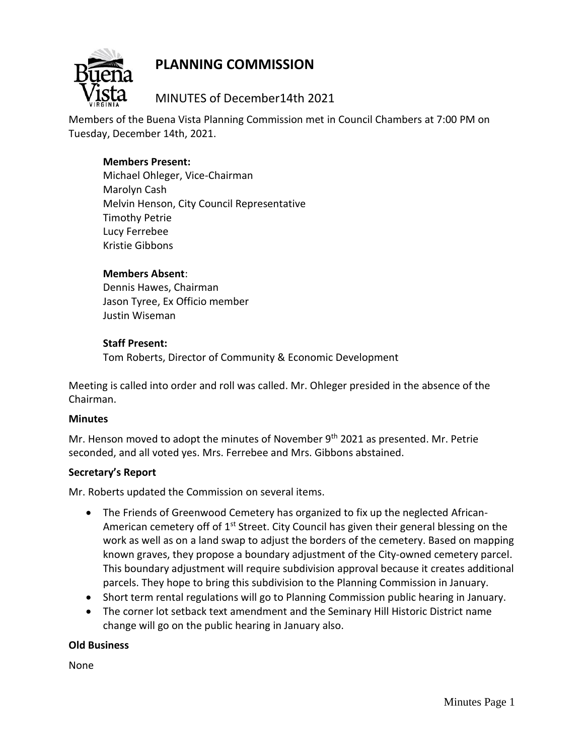# **PLANNING COMMISSION**



## MINUTES of December14th 2021

Members of the Buena Vista Planning Commission met in Council Chambers at 7:00 PM on Tuesday, December 14th, 2021.

## **Members Present:**

Michael Ohleger, Vice-Chairman Marolyn Cash Melvin Henson, City Council Representative Timothy Petrie Lucy Ferrebee Kristie Gibbons

## **Members Absent**:

Dennis Hawes, Chairman Jason Tyree, Ex Officio member Justin Wiseman

## **Staff Present:**

Tom Roberts, Director of Community & Economic Development

Meeting is called into order and roll was called. Mr. Ohleger presided in the absence of the Chairman.

## **Minutes**

Mr. Henson moved to adopt the minutes of November  $9<sup>th</sup>$  2021 as presented. Mr. Petrie seconded, and all voted yes. Mrs. Ferrebee and Mrs. Gibbons abstained.

## **Secretary's Report**

Mr. Roberts updated the Commission on several items.

- The Friends of Greenwood Cemetery has organized to fix up the neglected African-American cemetery off of 1<sup>st</sup> Street. City Council has given their general blessing on the work as well as on a land swap to adjust the borders of the cemetery. Based on mapping known graves, they propose a boundary adjustment of the City-owned cemetery parcel. This boundary adjustment will require subdivision approval because it creates additional parcels. They hope to bring this subdivision to the Planning Commission in January.
- Short term rental regulations will go to Planning Commission public hearing in January.
- The corner lot setback text amendment and the Seminary Hill Historic District name change will go on the public hearing in January also.

#### **Old Business**

None